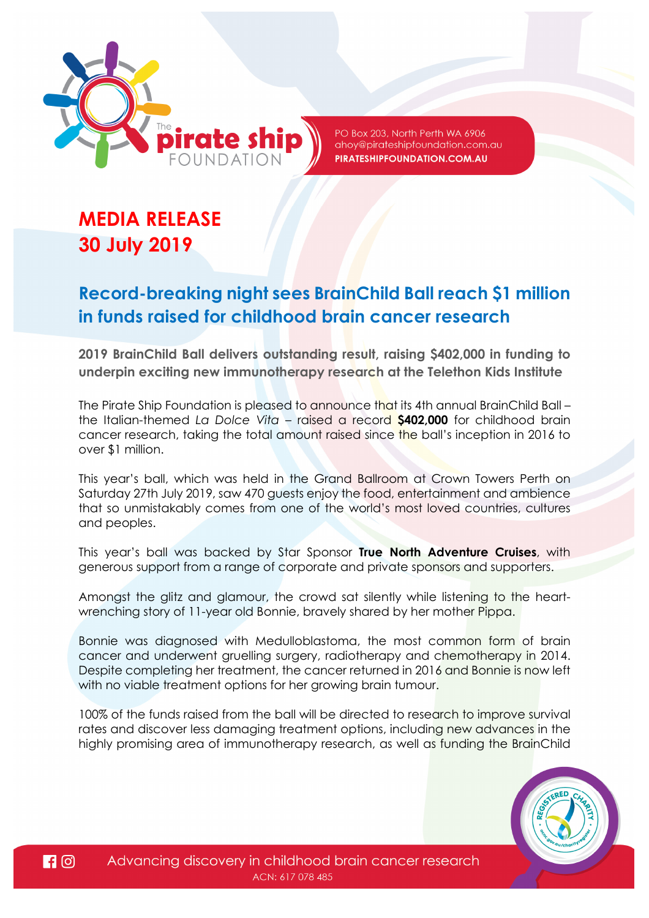

PO Box 203, North Perth WA 6906 ahoy@pirateshipfoundation.com.au PIRATESHIPFOUNDATION.COM.AU

# **MEDIA RELEASE 30 July 2019**

## **Record-breaking night sees BrainChild Ball reach \$1 million in funds raised for childhood brain cancer research**

**2019 BrainChild Ball delivers outstanding result, raising \$402,000 in funding to underpin exciting new immunotherapy research at the Telethon Kids Institute** 

The Pirate Ship Foundation is pleased to announce that its 4th annual BrainChild Ball – the Italian-themed *La Dolce Vita* – raised a record **\$402,000** for childhood brain cancer research, taking the total amount raised since the ball's inception in 2016 to over \$1 million.

This year's ball, which was held in the Grand Ballroom at Crown Towers Perth on Saturday 27th July 2019, saw 470 guests enjoy the food, entertainment and ambience that so unmistakably comes from one of the world's most loved countries, cultures and peoples.

This year's ball was backed by Star Sponsor **True North Adventure Cruises**, with generous support from a range of corporate and private sponsors and supporters.

Amongst the glitz and glamour, the crowd sat silently while listening to the heartwrenching story of 11-year old Bonnie, bravely shared by her mother Pippa.

Bonnie was diagnosed with Medulloblastoma, the most common form of brain cancer and underwent gruelling surgery, radiotherapy and chemotherapy in 2014. Despite completing her treatment, the cancer returned in 2016 and Bonnie is now left with no viable treatment options for her growing brain tumour.

100% of the funds raised from the ball will be directed to research to improve survival rates and discover less damaging treatment options, including new advances in the highly promising area of immunotherapy research, as well as funding the BrainChild

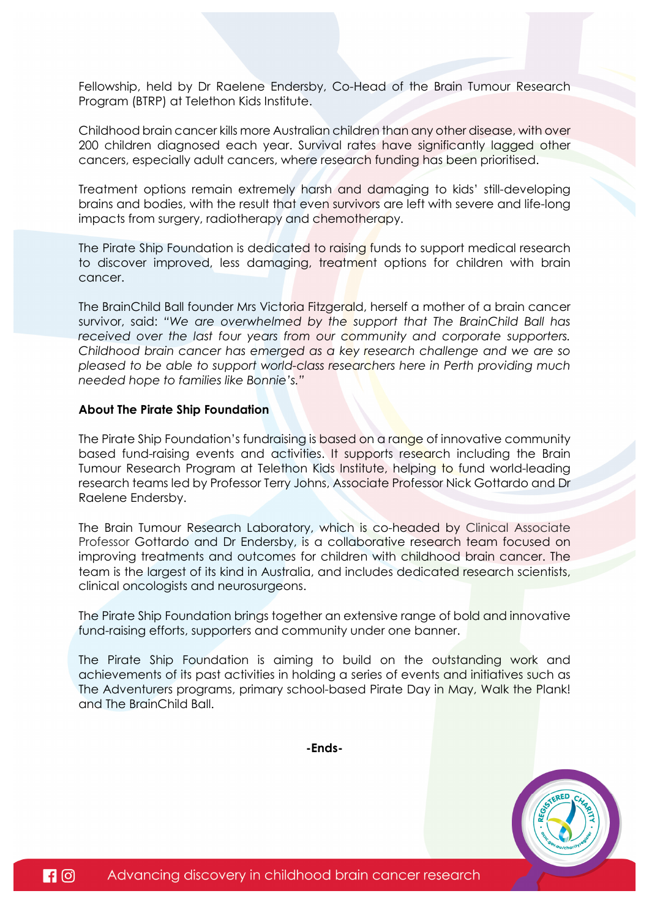Fellowship, held by Dr Raelene Endersby, Co-Head of the Brain Tumour Research Program (BTRP) at Telethon Kids Institute.

Childhood brain cancer kills more Australian children than any other disease, with over 200 children diagnosed each year. Survival rates have significantly lagged other cancers, especially adult cancers, where research funding has been prioritised.

Treatment options remain extremely harsh and damaging to kids' still-developing brains and bodies, with the result that even survivors are left with severe and life-long impacts from surgery, radiotherapy and chemotherapy.

The Pirate Ship Foundation is dedicated to raising funds to support medical research to discover improved, less damaging, treatment options for children with brain cancer.

The BrainChild Ball founder Mrs Victoria Fitzgerald, herself a mother of a brain cancer survivor, said: *"We are overwhelmed by the support that The BrainChild Ball has*  received over the last four years from our community and corporate supporters. *Childhood brain cancer has emerged as a key research challenge and we are so pleased to be able to support world-class researchers here in Perth providing much needed hope to families like Bonnie's."* 

#### **About The Pirate Ship Foundation**

The Pirate Ship Foundation's fundraising is based on a range of innovative community based fund-raising events and activities. It supports research including the Brain Tumour Research Program at Telethon Kids Institute, helping to fund world-leading research teams led by Professor Terry Johns, Associate Professor Nick Gottardo and Dr Raelene Endersby.

The Brain Tumour Research Laboratory, which is co-headed by Clinical Associate Professor Gottardo and Dr Endersby, is a collaborative research team focused on improving treatments and outcomes for children with childhood brain cancer. The team is the largest of its kind in Australia, and includes dedicated research scientists, clinical oncologists and neurosurgeons.

The Pirate Ship Foundation brings together an extensive range of bold and innovative fund-raising efforts, supporters and community under one banner.

The Pirate Ship Foundation is aiming to build on the outstanding work and achievements of its past activities in holding a series of events and initiatives such as The Adventurers programs, primary school-based Pirate Day in May, Walk the Plank! and The BrainChild Ball.

**-Ends-**